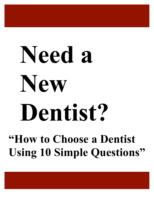# **Need a New Dentist?**

**"How to Choose a Dentist Using 10 Simple Questions"**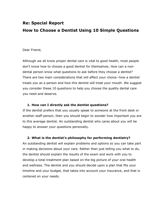# **Re: Special Report How to Choose a Dentist Using 10 Simple Questions**

### Dear Friend,

Although we all know proper dental care is vital to good health, most people don't know how to choose a good dentist for themselves. How can a nondental person know what questions to ask before they choose a dentist? There are two main considerations that will affect your choice--how a dentist treats you as a person and how this dentist will treat your mouth. We suggest you consider these 10 questions to help you choose the quality dental care you need and deserve.

### **1. How can I directly ask the dentist questions?**

If the dentist prefers that you usually speak to someone at the front desk or another staff person, then you should begin to wonder how important you are to this average dentist. An outstanding dentist who cares about you will be happy to answer your questions personally.

### **2. What is the dentist's philosophy for performing dentistry?**

An outstanding dentist will explain problems and options so you can take part in making decisions about your care. Rather than just telling you what to do, the dentist should explain the results of the exam and work with you to develop a total treatment plan based on the big picture of your oral health and wellness. The dentist and you should decide upon a plan that fits your timeline and your budget, that takes into account your insurance, and that is centered on your needs.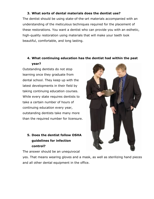## **3. What sorts of dental materials does the dentist use?**

The dentist should be using state-of-the-art materials accompanied with an understanding of the meticulous techniques required for the placement of these restorations. You want a dentist who can provide you with an esthetic, high-quality restoration using materials that will make your teeth look beautiful, comfortable, and long lasting.

## **4. What continuing education has the dentist had within the past year?**

Outstanding dentists do not stop learning once they graduate from dental school. They keep up with the latest developments in their field by taking continuing education courses. While every state requires dentists to take a certain number of hours of continuing education every year, outstanding dentists take many more than the required number for licensure.

## **5. Does the dentist follow OSHA guidelines for infection control?**

The answer should be an unequivocal

yes. That means wearing gloves and a mask, as well as sterilizing hand pieces and all other dental equipment in the office.

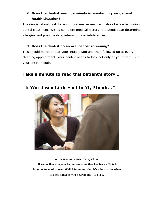## **6. Does the dentist seem genuinely interested in your general health situation?**

The dentist should ask for a comprehensive medical history before beginning dental treatment. With a complete medical history, the dentist can determine allergies and possible drug interactions or intolerances.

## **7. Does the dentist do an oral cancer screening?**

This should be routine at your initial exam and then followed up at every cleaning appointment. Your dentist needs to look not only at your teeth, but your entire mouth.

## **Take a minute to read this patient's story…**

## **"It Was Just a Little Spot In My Mouth…"**



**We hear about cancer everywhere.**

**It seems that everyone knows someone that has been affected by some form of cancer. Well, I found out that it's a lot scarier when it's not someone you hear about – it's you.**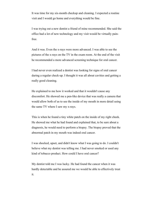It was time for my six-month checkup and cleaning. I expected a routine visit and I would go home and everything would be fine.

I was trying out a new dentist a friend of mine recommended. She said the office had a lot of new technology and my visit would be virtually painfree.

And it was. Even the x-rays were more advanced. I was able to see the pictures of the x-rays on the TV in the exam room. At the end of the visit he recommended a more advanced screening technique for oral cancer.

I had never even realized a dentist was looking for signs of oral cancer during a regular check-up. I thought it was all about cavities and getting a really good cleaning.

He explained to me how it worked and that it wouldn't cause any discomfort. He showed me a pen-like device that was really a camera that would allow both of us to see the inside of my mouth in more detail using the same TV where I saw my x-rays.

This is when he found a tiny white patch on the inside of my right cheek. He showed me what he had found and explained that, to be sure about a diagnosis, he would need to perform a biopsy. The biopsy proved that the abnormal patch in my mouth was indeed oral cancer.

I was shocked, upset, and didn't know what I was going to do. I couldn't believe what my dentist was telling me. I had never smoked or used any kind of tobacco product. How could I have oral cancer?

My dentist told me I was lucky. He had found the cancer when it was hardly detectable and he assured me we would be able to effectively treat it.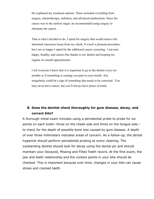He explained my treatment options. These included everything from surgery, chemotherapy, radiation, and advanced medications. Since the cancer was in the earliest stages, he recommended using surgery to eliminate the cancer.

That is what I decided to do. I opted for surgery that would remove the abnormal cancerous tissue from my cheek. It wasn't a pleasant procedure, but I am so happy I opted for the additional cancer screening. I am now happy, healthy, and cancer-free thanks to my dentist and keeping my regular six-month appointments.

I tell everyone I know that it is important to go to the dentist every sixmonths or if something is causing you pain in your mouth. Any irregularity could be a sign of something that needs to be corrected. You may never have cancer, but you'll always have peace of mind.

## **8. Does the dentist check thoroughly for gum disease, decay, and correct bite?**

A thorough initial exam includes using a periodontal probe to probe for six points on each tooth--three on the cheek side and three on the tongue side- to check for the depth of possible bone loss caused by gum disease. A depth of over three millimeters indicates areas of concern. As a follow-up, the dental hygienist should perform periodontal probing at every cleaning. The outstanding dentist should look for decay using the dental pic and should maintain your Decayed, Missing and Filled Teeth record. At the first exam, the jaw and teeth relationship and the contact points in your bite should be checked. This is important because over time, changes in your bite can cause stress and cracked teeth.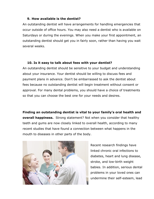#### **9. How available is the dentist?**

An outstanding dentist will have arrangements for handling emergencies that occur outside of office hours. You may also need a dentist who is available on Saturdays or during the evenings. When you make your first appointment, an outstanding dentist should get you in fairly soon, rather than having you wait several weeks.

### **10. Is it easy to talk about fees with your dentist?**

An outstanding dentist should be sensitive to your budget and understanding about your insurance. Your dentist should be willing to discuss fees and payment plans in advance. Don't be embarrassed to ask the dentist about fees because no outstanding dentist will begin treatment without consent or approval. For many dental problems, you should have a choice of treatments so that you can choose the best one for your needs and desires.

**Finding an outstanding dentist is vital to your family's oral health and overall happiness.** Strong statement? Not when you consider that healthy teeth and gums are now closely linked to overall health, according to many recent studies that have found a connection between what happens in the mouth to diseases in other parts of the body.



Recent research findings have linked chronic oral infections to diabetes, heart and lung disease, stroke, and low-birth weight babies. In addition, serious dental problems in your loved ones can undermine their self-esteem, lead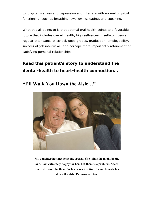to long-term stress and depression and interfere with normal physical functioning, such as breathing, swallowing, eating, and speaking.

What this all points to is that optimal oral health points to a favorable future that includes overall health, high self-esteem, self-confidence, regular attendance at school, good grades, graduation, employability, success at job interviews, and perhaps more importantly attainment of satisfying personal relationships.

# **Read this patient's story to understand the dental-health to heart-health connection…**

**"I'll Walk You Down the Aisle…"**



**My daughter has met someone special. She thinks he might be the one. I am extremely happy for her, but there is a problem. She is worried I won't be there for her when it is time for me to walk her down the aisle. I'm worried, too.**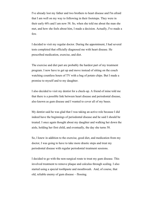I've already lost my father and two brothers to heart disease and I'm afraid that I am well on my way to following in their footsteps. They were in their early 60's and I am now 58. So, when she told me about the man she met, and how she feels about him, I made a decision. Actually, I've made a few.

I decided to visit my regular doctor. During the appointment, I had several tests completed that officially diagnosed me with heart disease. He prescribed medication, exercise, and diet.

The exercise and diet part are probably the hardest part of my treatment program. I now have to get up and move instead of sitting on the couch watching countless hours of TV with a bag of potato chips. But I made a promise to myself and to my daughter.

I also decided to visit my dentist for a check-up. A friend of mine told me that there is a possible link between heart disease and periodontal disease, also known as gum disease and I wanted to cover all of my bases.

My dentist said he was glad that I was taking an active role because I did indeed have the beginnings of periodontal disease and he said I should be treated. I once again thought about my daughter and walking her down the aisle, holding her first child, and eventually, the day she turns 58.

So, I knew in addition to the exercise, good diet, and medication from my doctor, I was going to have to take more drastic steps and treat my periodontal disease with regular periodontal treatment sessions.

I decided to go with the non-surgical route to treat my gum disease. This involved treatment to remove plaque and calculus through scaling. I also started using a special toothpaste and mouthwash. And, of course, that old, reliable enemy of gum disease – flossing.